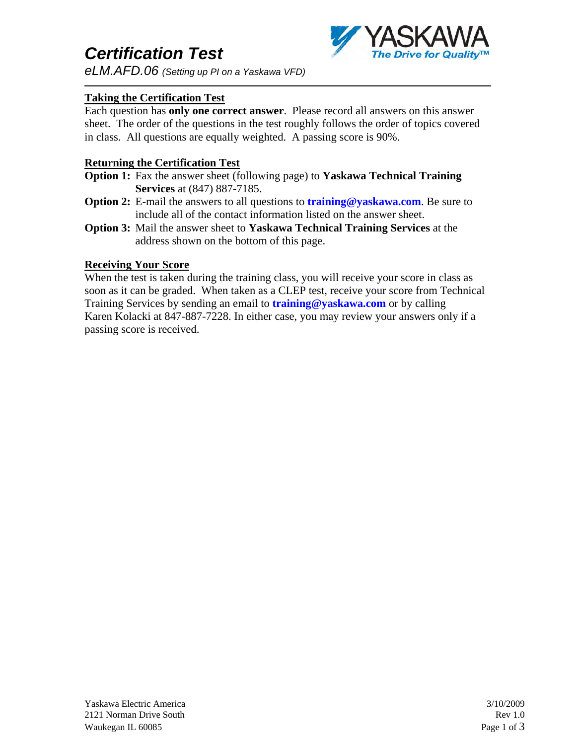# *Certification Test*

*eLM.AFD.06 (Setting up PI on a Yaskawa VFD)*

### **Taking the Certification Test**

Each question has **only one correct answer**. Please record all answers on this answer sheet. The order of the questions in the test roughly follows the order of topics covered in class. All questions are equally weighted. A passing score is 90%.

### **Returning the Certification Test**

- **Option 1:** Fax the answer sheet (following page) to **Yaskawa Technical Training Services** at (847) 887-7185.
- **Option 2:** E-mail the answers to all questions to **training@yaskawa.com**. Be sure to include all of the contact information listed on the answer sheet.
- **Option 3:** Mail the answer sheet to **Yaskawa Technical Training Services** at the address shown on the bottom of this page.

### **Receiving Your Score**

When the test is taken during the training class, you will receive your score in class as soon as it can be graded. When taken as a CLEP test, receive your score from Technical Training Services by sending an email to **training@yaskawa.com** or by calling Karen Kolacki at 847-887-7228. In either case, you may review your answers only if a passing score is received.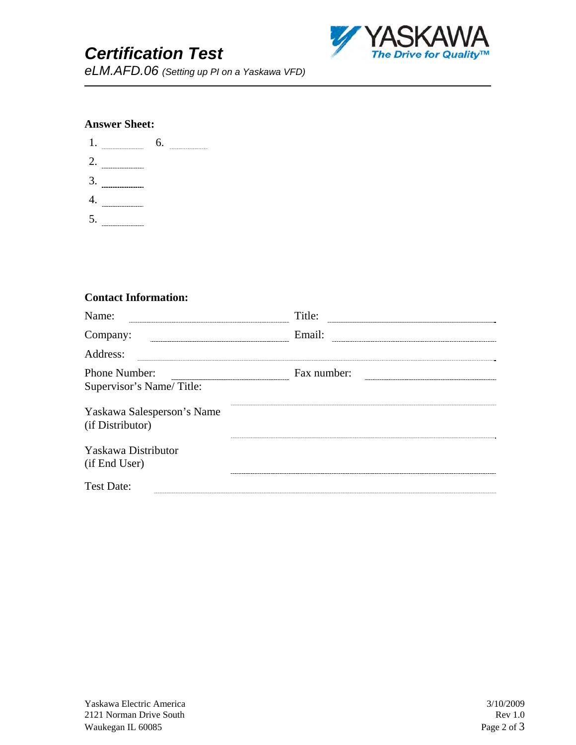## *Certification Test*



*eLM.AFD.06 (Setting up PI on a Yaskawa VFD)*

### **Answer Sheet:**

| 1. |                    | 6. | ------ |
|----|--------------------|----|--------|
| 2. | ------------------ |    |        |
| 3. |                    |    |        |
|    | ---------          |    |        |
| 5. |                    |    |        |

#### **Contact Information:**

| Name:<br>the contract of the contract of the contract of the contract of the contract of | Title:      |
|------------------------------------------------------------------------------------------|-------------|
| Company:                                                                                 | Email:      |
| Address:                                                                                 |             |
| Phone Number:                                                                            | Fax number: |
| Supervisor's Name/Title:                                                                 |             |
| Yaskawa Salesperson's Name<br>(if Distributor)                                           |             |
| Yaskawa Distributor<br>(if End User)                                                     |             |
| <b>Test Date:</b>                                                                        |             |